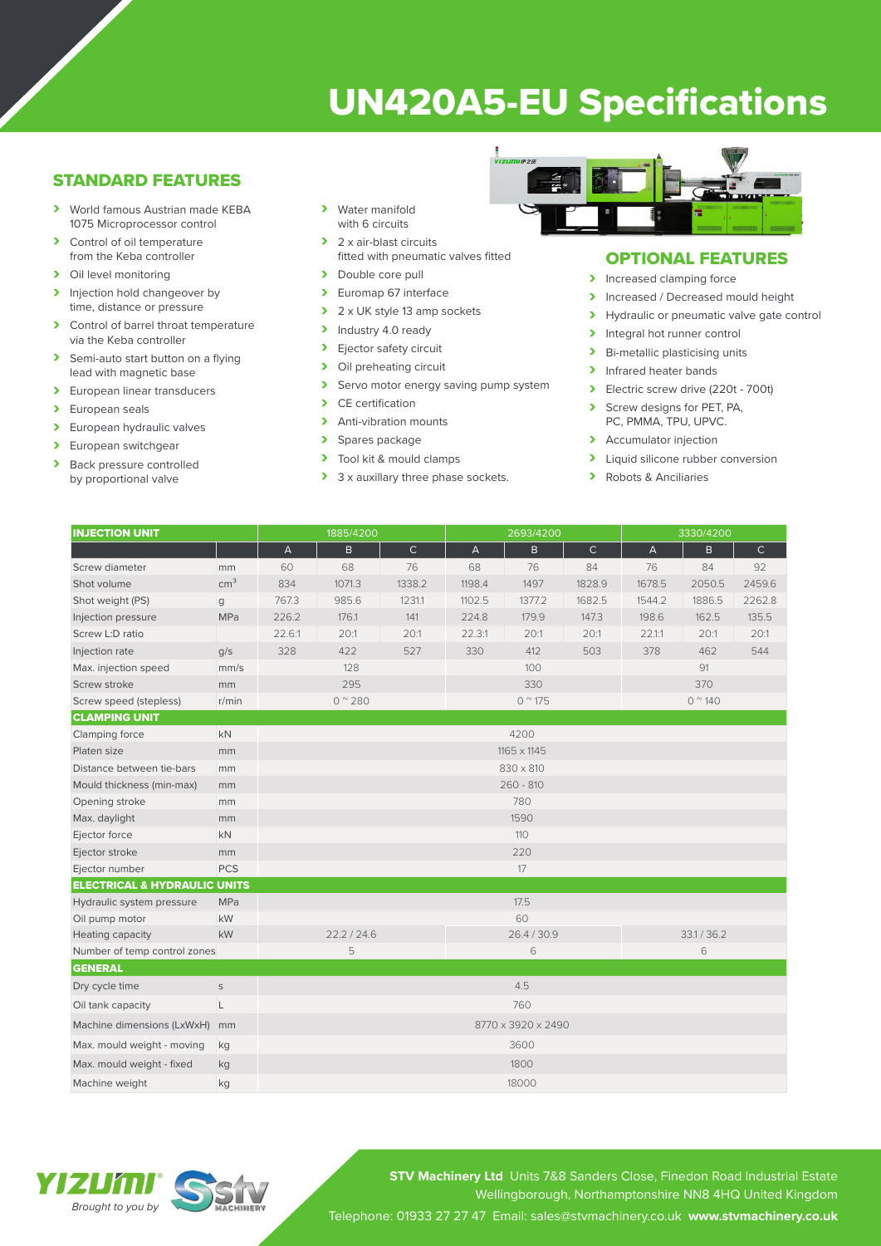# UN420A5-EU Specifications

# STANDARD FEATURES

- › World famous Austrian made KEBA 1075 Microprocessor control
- > Control of oil temperature from the Keba controller
- > Oil level monitoring
- > Injection hold changeover by time, distance or pressure
- > Control of barrel throat temperature via the Keba controller
- > Semi-auto start button on a flying lead with magnetic base
- > European linear transducers
- > European seals
- > European hydraulic valves
- > European switchgear<br>
> Back pressure control
- Back pressure controlled by proportional valve
- › Water manifold with 6 circuits
- > 2 x air-blast circuits fitted with pneumatic valves fitted
- > Double core pull
- > Euromap 67 interface
- > 2 x UK style 13 amp sockets
- > Industry 4.0 ready
- > Ejector safety circuit<br>> Oil preheating circuit
- Oil preheating circuit
- > Servo motor energy saving pump system<br>
> CE certification
- CE certification
- > Anti-vibration mounts
- > Spares package<br>> Tool kit & mould
- Tool kit & mould clamps
- > 3 x auxillary three phase sockets.



## OPTIONAL FEATURES

- > Increased clamping force
- Increased / Decreased mould height<br>
Invealing the proportional valve date contract of
- Hydraulic or pneumatic valve gate control
- > Integral hot runner control
- > Bi-metallic plasticising units
- > Infrared heater bands
- › Electric screw drive (220t 700t)
- Screw designs for PET, PA, PC, PMMA, TPU, UPVC.
- > Accumulator injection
- > Liquid silicone rubber conversion
- › Robots & Anciliaries

| <b>INJECTION UNIT</b>                   |                 | 1885/4200                 |              |              | 2693/4200       |        |              | 3330/4200              |        |              |
|-----------------------------------------|-----------------|---------------------------|--------------|--------------|-----------------|--------|--------------|------------------------|--------|--------------|
|                                         |                 | $\boldsymbol{\mathsf{A}}$ | $\mathsf{B}$ | $\mathsf{C}$ | $\overline{A}$  | B      | $\mathsf{C}$ | $\overline{A}$         | B.     | $\mathsf{C}$ |
| Screw diameter                          | mm              | 60                        | 68           | 76           | 68              | 76     | 84           | 76                     | 84     | 92           |
| Shot volume                             | cm <sup>3</sup> | 834                       | 1071.3       | 1338.2       | 1198.4          | 1497   | 1828.9       | 1678.5                 | 2050.5 | 2459.6       |
| Shot weight (PS)                        | g               | 767.3                     | 985.6        | 1231.1       | 1102.5          | 1377.2 | 1682.5       | 1544.2                 | 1886.5 | 2262.8       |
| Injection pressure                      | MPa             | 226.2                     | 176.1        | 141          | 224.8           | 179.9  | 147.3        | 198.6                  | 162.5  | 135.5        |
| Screw L:D ratio                         |                 | 22.6:1                    | 20:1         | 20:1         | 22.3:1          | 20:1   | 20:1         | 22.1:1                 | 20:1   | 20:1         |
| Injection rate                          | q/s             | 328                       | 422          | 527          | 330             | 412    | 503          | 378                    | 462    | 544          |
| Max. injection speed                    | mm/s            | 128                       |              |              | 100             |        |              | 91                     |        |              |
| Screw stroke                            | mm              | 295                       |              |              | 330             |        |              | 370                    |        |              |
| Screw speed (stepless)                  | r/min           | $0^{\circ}280$            |              |              | $0^{\circ}$ 175 |        |              | $0^{\prime\prime}$ 140 |        |              |
| <b>CLAMPING UNIT</b>                    |                 |                           |              |              |                 |        |              |                        |        |              |
| Clamping force                          | <b>kN</b>       | 4200                      |              |              |                 |        |              |                        |        |              |
| Platen size                             | mm              | 1165 x 1145               |              |              |                 |        |              |                        |        |              |
| Distance between tie-bars               | mm              |                           | 830 x 810    |              |                 |        |              |                        |        |              |
| Mould thickness (min-max)               | mm              | $260 - 810$               |              |              |                 |        |              |                        |        |              |
| Opening stroke                          | mm              | 780                       |              |              |                 |        |              |                        |        |              |
| Max. daylight                           | mm              |                           |              |              | 1590            |        |              |                        |        |              |
| Ejector force                           | kN              |                           |              |              |                 | 110    |              |                        |        |              |
| Ejector stroke                          | mm              |                           |              |              | 220             |        |              |                        |        |              |
| Ejector number                          | <b>PCS</b>      |                           |              |              | 17              |        |              |                        |        |              |
| <b>ELECTRICAL &amp; HYDRAULIC UNITS</b> |                 |                           |              |              |                 |        |              |                        |        |              |
| Hydraulic system pressure               | <b>MPa</b>      |                           |              |              | 17.5            |        |              |                        |        |              |
| Oil pump motor                          | kW              |                           |              |              | 60              |        |              |                        |        |              |
| Heating capacity                        | kW              | 22.2 / 24.6               |              |              | 26.4 / 30.9     |        |              | 33.1 / 36.2            |        |              |
| Number of temp control zones            |                 | 5                         |              |              | 6               |        |              | 6                      |        |              |
| <b>GENERAL</b>                          |                 |                           |              |              |                 |        |              |                        |        |              |
| Dry cycle time                          | $\mathsf S$     | 4.5                       |              |              |                 |        |              |                        |        |              |
| Oil tank capacity                       | L               | 760                       |              |              |                 |        |              |                        |        |              |
| Machine dimensions (LxWxH)              | mm              | 8770 x 3920 x 2490        |              |              |                 |        |              |                        |        |              |
| Max. mould weight - moving              | kg              | 3600                      |              |              |                 |        |              |                        |        |              |
| Max. mould weight - fixed               | kg              |                           | 1800         |              |                 |        |              |                        |        |              |
| Machine weight                          | kg              | 18000                     |              |              |                 |        |              |                        |        |              |

# YEZEKTE *Brought to you by*